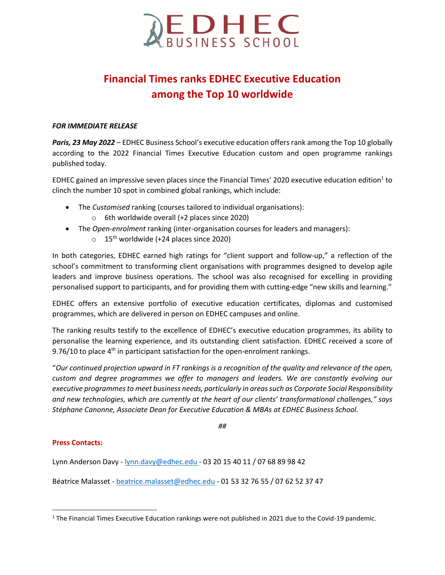

# **Financial Times ranks EDHEC Executive Education among the Top 10 worldwide**

## *FOR IMMEDIATE RELEASE*

*Paris, 23 May 2022 –* EDHEC Business School's executive education offers rank among the Top 10 globally according to the 2022 Financial Times Executive Education custom and open programme rankings published today.

EDHEC gained an impressive seven places since the Financial Times' 2020 executive education edition<sup>1</sup> to clinch the number 10 spot in combined global rankings, which include:

- The *Customised* ranking (courses tailored to individual organisations):
	- o 6th worldwide overall (+2 places since 2020)
- The *Open-enrolment* ranking (inter-organisation courses for leaders and managers):
	- $\circ$  15<sup>th</sup> worldwide (+24 places since 2020)

In both categories, EDHEC earned high ratings for "client support and follow-up," a reflection of the school's commitment to transforming client organisations with programmes designed to develop agile leaders and improve business operations. The school was also recognised for excelling in providing personalised support to participants, and for providing them with cutting-edge "new skills and learning."

EDHEC offers an extensive portfolio of executive education certificates, diplomas and customised programmes, which are delivered in person on EDHEC campuses and online.

The ranking results testify to the excellence of EDHEC's executive education programmes, its ability to personalise the learning experience, and its outstanding client satisfaction. EDHEC received a score of 9.76/10 to place  $4<sup>th</sup>$  in participant satisfaction for the open-enrolment rankings.

"*Our continued projection upward in FT rankings is a recognition of the quality and relevance of the open, custom and degree programmes we offer to managers and leaders. We are constantly evolving our executive programmes to meet business needs, particularly in areas such as Corporate Social Responsibility and new technologies, which are currently at the heart of our clients' transformational challenges," says Stéphane Canonne, Associate Dean for Executive Education & MBAs at EDHEC Business School.* 

*##*

#### **Press Contacts:**

 $\overline{\phantom{a}}$ 

Lynn Anderson Davy - [lynn.davy@edhec.edu](mailto:lynn.davy@edhec.edu) - 03 20 15 40 11 / 07 68 89 98 42

Béatrice Malasset - [beatrice.malasset@edhec.edu](mailto:beatrice.malasset@edhec.edu) - 01 53 32 76 55 / 07 62 52 37 47

<sup>1</sup> The Financial Times Executive Education rankings were not published in 2021 due to the Covid-19 pandemic.